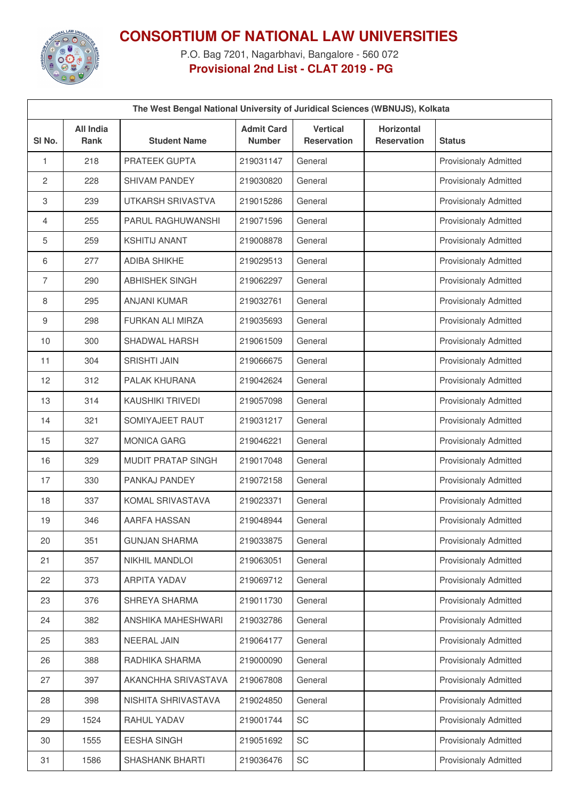

## **CONSORTIUM OF NATIONAL LAW UNIVERSITIES**

P.O. Bag 7201, Nagarbhavi, Bangalore - 560 072 **Provisional 2nd List - CLAT 2019 - PG**

| The West Bengal National University of Juridical Sciences (WBNUJS), Kolkata |                          |                         |                                    |                                       |                                         |                              |  |
|-----------------------------------------------------------------------------|--------------------------|-------------------------|------------------------------------|---------------------------------------|-----------------------------------------|------------------------------|--|
| SI <sub>No.</sub>                                                           | <b>All India</b><br>Rank | <b>Student Name</b>     | <b>Admit Card</b><br><b>Number</b> | <b>Vertical</b><br><b>Reservation</b> | <b>Horizontal</b><br><b>Reservation</b> | <b>Status</b>                |  |
| 1                                                                           | 218                      | PRATEEK GUPTA           | 219031147                          | General                               |                                         | Provisionaly Admitted        |  |
| 2                                                                           | 228                      | <b>SHIVAM PANDEY</b>    | 219030820                          | General                               |                                         | Provisionaly Admitted        |  |
| 3                                                                           | 239                      | UTKARSH SRIVASTVA       | 219015286                          | General                               |                                         | Provisionaly Admitted        |  |
| 4                                                                           | 255                      | PARUL RAGHUWANSHI       | 219071596                          | General                               |                                         | <b>Provisionaly Admitted</b> |  |
| 5                                                                           | 259                      | <b>KSHITIJ ANANT</b>    | 219008878                          | General                               |                                         | Provisionaly Admitted        |  |
| 6                                                                           | 277                      | ADIBA SHIKHE            | 219029513                          | General                               |                                         | Provisionaly Admitted        |  |
| 7                                                                           | 290                      | <b>ABHISHEK SINGH</b>   | 219062297                          | General                               |                                         | Provisionaly Admitted        |  |
| 8                                                                           | 295                      | <b>ANJANI KUMAR</b>     | 219032761                          | General                               |                                         | <b>Provisionaly Admitted</b> |  |
| 9                                                                           | 298                      | <b>FURKAN ALI MIRZA</b> | 219035693                          | General                               |                                         | Provisionaly Admitted        |  |
| 10                                                                          | 300                      | SHADWAL HARSH           | 219061509                          | General                               |                                         | Provisionaly Admitted        |  |
| 11                                                                          | 304                      | <b>SRISHTI JAIN</b>     | 219066675                          | General                               |                                         | Provisionaly Admitted        |  |
| 12                                                                          | 312                      | PALAK KHURANA           | 219042624                          | General                               |                                         | Provisionaly Admitted        |  |
| 13                                                                          | 314                      | <b>KAUSHIKI TRIVEDI</b> | 219057098                          | General                               |                                         | <b>Provisionaly Admitted</b> |  |
| 14                                                                          | 321                      | SOMIYAJEET RAUT         | 219031217                          | General                               |                                         | Provisionaly Admitted        |  |
| 15                                                                          | 327                      | <b>MONICA GARG</b>      | 219046221                          | General                               |                                         | Provisionaly Admitted        |  |
| 16                                                                          | 329                      | MUDIT PRATAP SINGH      | 219017048                          | General                               |                                         | Provisionaly Admitted        |  |
| 17                                                                          | 330                      | PANKAJ PANDEY           | 219072158                          | General                               |                                         | Provisionaly Admitted        |  |
| 18                                                                          | 337                      | KOMAL SRIVASTAVA        | 219023371                          | General                               |                                         | Provisionaly Admitted        |  |
| 19                                                                          | 346                      | AARFA HASSAN            | 219048944                          | General                               |                                         | <b>Provisionaly Admitted</b> |  |
| 20                                                                          | 351                      | <b>GUNJAN SHARMA</b>    | 219033875                          | General                               |                                         | <b>Provisionaly Admitted</b> |  |
| 21                                                                          | 357                      | NIKHIL MANDLOI          | 219063051                          | General                               |                                         | <b>Provisionaly Admitted</b> |  |
| 22                                                                          | 373                      | <b>ARPITA YADAV</b>     | 219069712                          | General                               |                                         | Provisionaly Admitted        |  |
| 23                                                                          | 376                      | SHREYA SHARMA           | 219011730                          | General                               |                                         | Provisionaly Admitted        |  |
| 24                                                                          | 382                      | ANSHIKA MAHESHWARI      | 219032786                          | General                               |                                         | <b>Provisionaly Admitted</b> |  |
| 25                                                                          | 383                      | <b>NEERAL JAIN</b>      | 219064177                          | General                               |                                         | <b>Provisionaly Admitted</b> |  |
| 26                                                                          | 388                      | RADHIKA SHARMA          | 219000090                          | General                               |                                         | <b>Provisionaly Admitted</b> |  |
| 27                                                                          | 397                      | AKANCHHA SRIVASTAVA     | 219067808                          | General                               |                                         | Provisionaly Admitted        |  |
| 28                                                                          | 398                      | NISHITA SHRIVASTAVA     | 219024850                          | General                               |                                         | <b>Provisionaly Admitted</b> |  |
| 29                                                                          | 1524                     | RAHUL YADAV             | 219001744                          | SC                                    |                                         | Provisionaly Admitted        |  |
| 30                                                                          | 1555                     | <b>EESHA SINGH</b>      | 219051692                          | SC                                    |                                         | <b>Provisionaly Admitted</b> |  |
| 31                                                                          | 1586                     | <b>SHASHANK BHARTI</b>  | 219036476                          | SC                                    |                                         | Provisionaly Admitted        |  |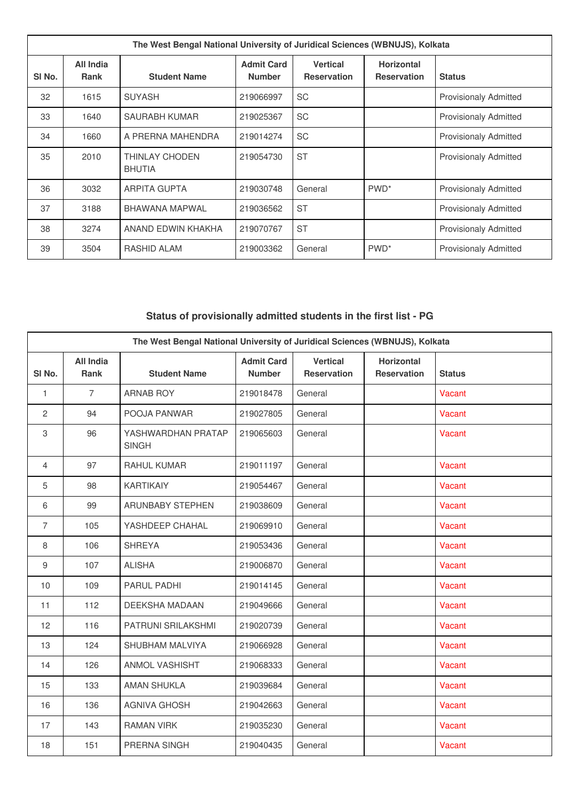| The West Bengal National University of Juridical Sciences (WBNUJS), Kolkata |                          |                                 |                                    |                                       |                                         |                              |
|-----------------------------------------------------------------------------|--------------------------|---------------------------------|------------------------------------|---------------------------------------|-----------------------------------------|------------------------------|
| SI No.                                                                      | All India<br><b>Rank</b> | <b>Student Name</b>             | <b>Admit Card</b><br><b>Number</b> | <b>Vertical</b><br><b>Reservation</b> | <b>Horizontal</b><br><b>Reservation</b> | <b>Status</b>                |
| 32                                                                          | 1615                     | <b>SUYASH</b>                   | 219066997                          | <b>SC</b>                             |                                         | <b>Provisionaly Admitted</b> |
| 33                                                                          | 1640                     | <b>SAURABH KUMAR</b>            | 219025367                          | <b>SC</b>                             |                                         | <b>Provisionaly Admitted</b> |
| 34                                                                          | 1660                     | A PRERNA MAHENDRA               | 219014274                          | <b>SC</b>                             |                                         | <b>Provisionaly Admitted</b> |
| 35                                                                          | 2010                     | THINLAY CHODEN<br><b>BHUTIA</b> | 219054730                          | <b>ST</b>                             |                                         | <b>Provisionaly Admitted</b> |
| 36                                                                          | 3032                     | <b>ARPITA GUPTA</b>             | 219030748                          | General                               | PWD <sup>*</sup>                        | <b>Provisionaly Admitted</b> |
| 37                                                                          | 3188                     | <b>BHAWANA MAPWAL</b>           | 219036562                          | <b>ST</b>                             |                                         | <b>Provisionaly Admitted</b> |
| 38                                                                          | 3274                     | ANAND EDWIN KHAKHA              | 219070767                          | <b>ST</b>                             |                                         | <b>Provisionaly Admitted</b> |
| 39                                                                          | 3504                     | RASHID ALAM                     | 219003362                          | General                               | PWD <sup>*</sup>                        | <b>Provisionaly Admitted</b> |

## **Status of provisionally admitted students in the first list - PG**

| The West Bengal National University of Juridical Sciences (WBNUJS), Kolkata |                                 |                                    |                                    |                                       |                                         |               |
|-----------------------------------------------------------------------------|---------------------------------|------------------------------------|------------------------------------|---------------------------------------|-----------------------------------------|---------------|
| SI No.                                                                      | <b>All India</b><br><b>Rank</b> | <b>Student Name</b>                | <b>Admit Card</b><br><b>Number</b> | <b>Vertical</b><br><b>Reservation</b> | <b>Horizontal</b><br><b>Reservation</b> | <b>Status</b> |
| 1                                                                           | $\overline{7}$                  | <b>ARNAB ROY</b>                   | 219018478                          | General                               |                                         | Vacant        |
| 2                                                                           | 94                              | POOJA PANWAR                       | 219027805                          | General                               |                                         | Vacant        |
| 3                                                                           | 96                              | YASHWARDHAN PRATAP<br><b>SINGH</b> | 219065603                          | General                               |                                         | Vacant        |
| 4                                                                           | 97                              | RAHUL KUMAR                        | 219011197                          | General                               |                                         | Vacant        |
| 5                                                                           | 98                              | <b>KARTIKAIY</b>                   | 219054467                          | General                               |                                         | Vacant        |
| 6                                                                           | 99                              | <b>ARUNBABY STEPHEN</b>            | 219038609                          | General                               |                                         | Vacant        |
| $\overline{7}$                                                              | 105                             | YASHDEEP CHAHAL                    | 219069910                          | General                               |                                         | Vacant        |
| 8                                                                           | 106                             | <b>SHREYA</b>                      | 219053436                          | General                               |                                         | Vacant        |
| 9                                                                           | 107                             | <b>ALISHA</b>                      | 219006870                          | General                               |                                         | Vacant        |
| 10                                                                          | 109                             | PARUL PADHI                        | 219014145                          | General                               |                                         | Vacant        |
| 11                                                                          | 112                             | <b>DEEKSHA MADAAN</b>              | 219049666                          | General                               |                                         | Vacant        |
| 12                                                                          | 116                             | PATRUNI SRILAKSHMI                 | 219020739                          | General                               |                                         | Vacant        |
| 13                                                                          | 124                             | <b>SHUBHAM MALVIYA</b>             | 219066928                          | General                               |                                         | Vacant        |
| 14                                                                          | 126                             | <b>ANMOL VASHISHT</b>              | 219068333                          | General                               |                                         | Vacant        |
| 15                                                                          | 133                             | <b>AMAN SHUKLA</b>                 | 219039684                          | General                               |                                         | Vacant        |
| 16                                                                          | 136                             | <b>AGNIVA GHOSH</b>                | 219042663                          | General                               |                                         | Vacant        |
| 17                                                                          | 143                             | <b>RAMAN VIRK</b>                  | 219035230                          | General                               |                                         | Vacant        |
| 18                                                                          | 151                             | PRERNA SINGH                       | 219040435                          | General                               |                                         | Vacant        |